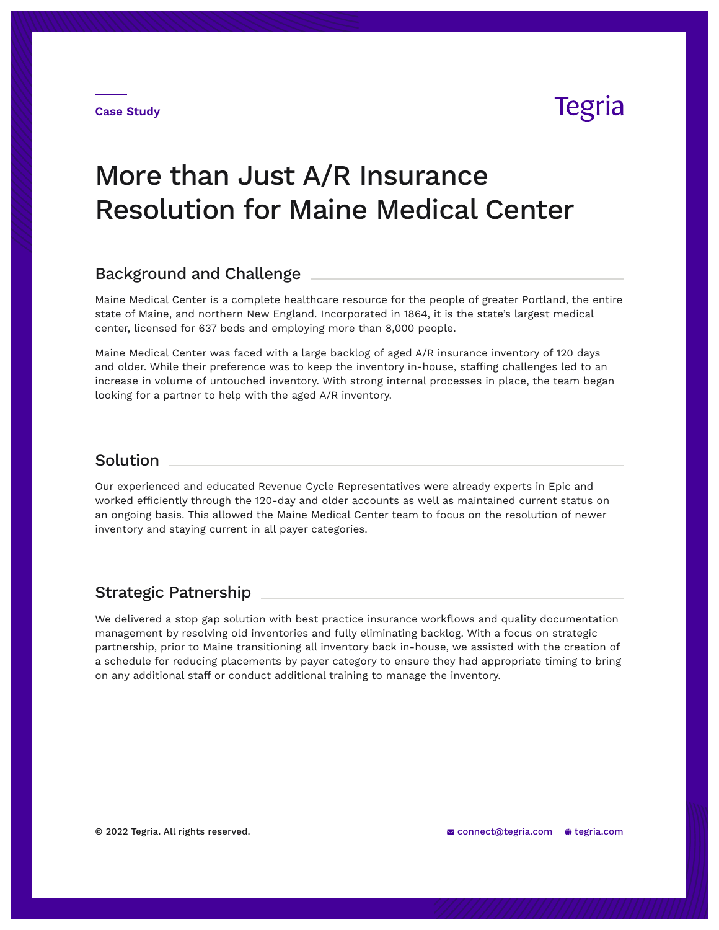**Case Study**

### Tegria

# More than Just A/R Insurance Resolution for Maine Medical Center

#### Background and Challenge

Maine Medical Center is a complete healthcare resource for the people of greater Portland, the entire state of Maine, and northern New England. Incorporated in 1864, it is the state's largest medical center, licensed for 637 beds and employing more than 8,000 people.

Maine Medical Center was faced with a large backlog of aged A/R insurance inventory of 120 days and older. While their preference was to keep the inventory in-house, staffing challenges led to an increase in volume of untouched inventory. With strong internal processes in place, the team began looking for a partner to help with the aged A/R inventory.

### **Solution**

Our experienced and educated Revenue Cycle Representatives were already experts in Epic and worked efficiently through the 120-day and older accounts as well as maintained current status on an ongoing basis. This allowed the Maine Medical Center team to focus on the resolution of newer inventory and staying current in all payer categories.

#### Strategic Patnership

We delivered a stop gap solution with best practice insurance workflows and quality documentation management by resolving old inventories and fully eliminating backlog. With a focus on strategic partnership, prior to Maine transitioning all inventory back in-house, we assisted with the creation of a schedule for reducing placements by payer category to ensure they had appropriate timing to bring on any additional staff or conduct additional training to manage the inventory.